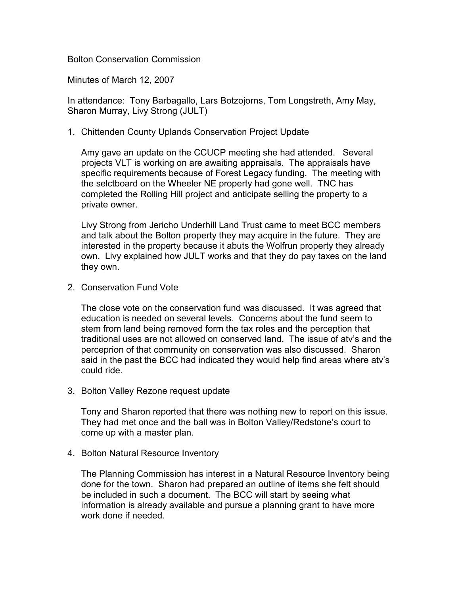Bolton Conservation Commission

Minutes of March 12, 2007

In attendance: Tony Barbagallo, Lars Botzojorns, Tom Longstreth, Amy May, Sharon Murray, Livy Strong (JULT)

1. Chittenden County Uplands Conservation Project Update

Amy gave an update on the CCUCP meeting she had attended. Several projects VLT is working on are awaiting appraisals. The appraisals have specific requirements because of Forest Legacy funding. The meeting with the selctboard on the Wheeler NE property had gone well. TNC has completed the Rolling Hill project and anticipate selling the property to a private owner.

Livy Strong from Jericho Underhill Land Trust came to meet BCC members and talk about the Bolton property they may acquire in the future. They are interested in the property because it abuts the Wolfrun property they already own. Livy explained how JULT works and that they do pay taxes on the land they own.

2. Conservation Fund Vote

The close vote on the conservation fund was discussed. It was agreed that education is needed on several levels. Concerns about the fund seem to stem from land being removed form the tax roles and the perception that traditional uses are not allowed on conserved land. The issue of atv's and the perceprion of that community on conservation was also discussed. Sharon said in the past the BCC had indicated they would help find areas where atv's could ride.

3. Bolton Valley Rezone request update

Tony and Sharon reported that there was nothing new to report on this issue. They had met once and the ball was in Bolton Valley/Redstone's court to come up with a master plan.

4. Bolton Natural Resource Inventory

The Planning Commission has interest in a Natural Resource Inventory being done for the town. Sharon had prepared an outline of items she felt should be included in such a document. The BCC will start by seeing what information is already available and pursue a planning grant to have more work done if needed.